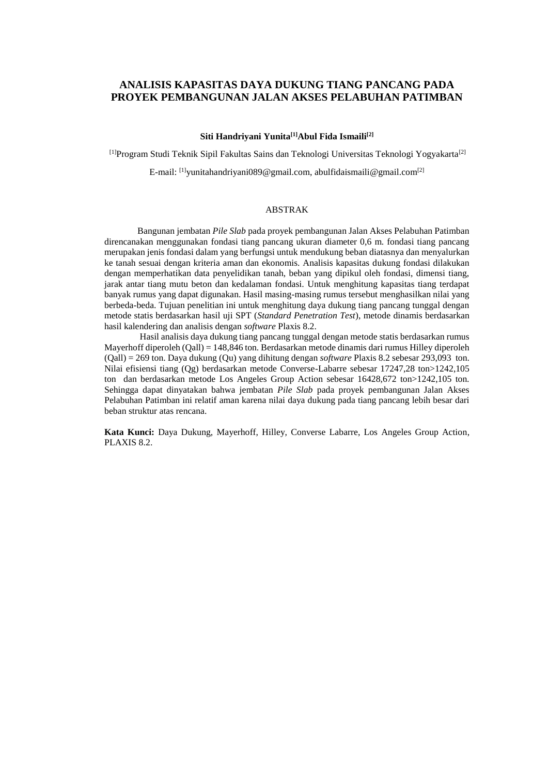# **ANALISIS KAPASITAS DAYA DUKUNG TIANG PANCANG PADA PROYEK PEMBANGUNAN JALAN AKSES PELABUHAN PATIMBAN**

#### **Siti Handriyani Yunita[1]Abul Fida Ismaili[2]**

[1]Program Studi Teknik Sipil Fakultas Sains dan Teknologi Universitas Teknologi Yogyakarta[2]

E-mail: <sup>[1]</sup>[yunitahandriyani089@gmail.com,](mailto:yunitahandriyani089@gmail.com) [abulfidaismaili@gmail.com](mailto:abulfidaismaili@gmail.com)<sup>[2]</sup>

## ABSTRAK

Bangunan jembatan *Pile Slab* pada proyek pembangunan Jalan Akses Pelabuhan Patimban direncanakan menggunakan fondasi tiang pancang ukuran diameter 0,6 m. fondasi tiang pancang merupakan jenis fondasi dalam yang berfungsi untuk mendukung beban diatasnya dan menyalurkan ke tanah sesuai dengan kriteria aman dan ekonomis. Analisis kapasitas dukung fondasi dilakukan dengan memperhatikan data penyelidikan tanah, beban yang dipikul oleh fondasi, dimensi tiang, jarak antar tiang mutu beton dan kedalaman fondasi. Untuk menghitung kapasitas tiang terdapat banyak rumus yang dapat digunakan. Hasil masing-masing rumus tersebut menghasilkan nilai yang berbeda-beda. Tujuan penelitian ini untuk menghitung daya dukung tiang pancang tunggal dengan metode statis berdasarkan hasil uji SPT (*Standard Penetration Test*), metode dinamis berdasarkan hasil kalendering dan analisis dengan *software* Plaxis 8.2.

Hasil analisis daya dukung tiang pancang tunggal dengan metode statis berdasarkan rumus Mayerhoff diperoleh (Qall) = 148,846 ton. Berdasarkan metode dinamis dari rumus Hilley diperoleh (Qall) = 269 ton. Daya dukung (Qu) yang dihitung dengan *software* Plaxis 8.2 sebesar 293,093 ton. Nilai efisiensi tiang (Qg) berdasarkan metode Converse-Labarre sebesar 17247,28 ton>1242,105 ton dan berdasarkan metode Los Angeles Group Action sebesar 16428,672 ton>1242,105 ton. Sehingga dapat dinyatakan bahwa jembatan *Pile Slab* pada proyek pembangunan Jalan Akses Pelabuhan Patimban ini relatif aman karena nilai daya dukung pada tiang pancang lebih besar dari beban struktur atas rencana.

**Kata Kunci:** Daya Dukung, Mayerhoff, Hilley, Converse Labarre, Los Angeles Group Action, PLAXIS 8.2.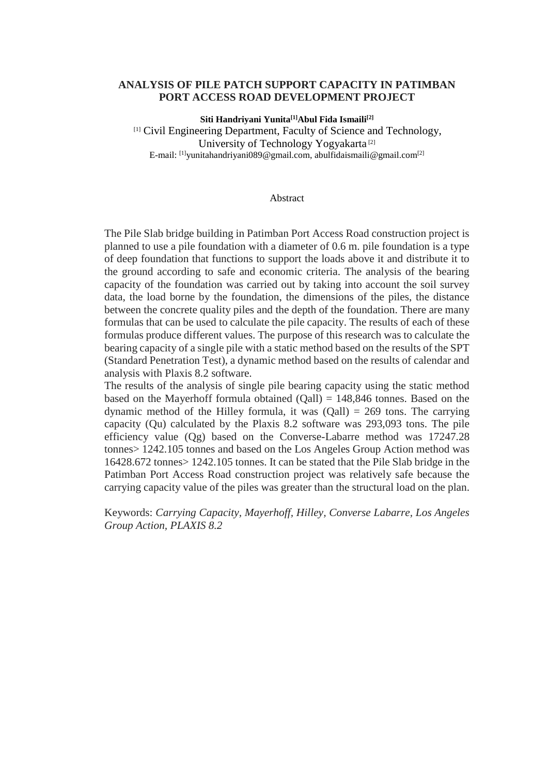## **ANALYSIS OF PILE PATCH SUPPORT CAPACITY IN PATIMBAN PORT ACCESS ROAD DEVELOPMENT PROJECT**

**Siti Handriyani Yunita[1]Abul Fida Ismaili[2]** [1] Civil Engineering Department, Faculty of Science and Technology, University of Technology Yogyakarta [2] E-mail: [1][yunitahandriyani089@gmail.com,](mailto:yunitahandriyani089@gmail.com) [abulfidaismaili@gmail.com](mailto:abulfidaismaili@gmail.com)[2]

### Abstract

The Pile Slab bridge building in Patimban Port Access Road construction project is planned to use a pile foundation with a diameter of 0.6 m. pile foundation is a type of deep foundation that functions to support the loads above it and distribute it to the ground according to safe and economic criteria. The analysis of the bearing capacity of the foundation was carried out by taking into account the soil survey data, the load borne by the foundation, the dimensions of the piles, the distance between the concrete quality piles and the depth of the foundation. There are many formulas that can be used to calculate the pile capacity. The results of each of these formulas produce different values. The purpose of this research was to calculate the bearing capacity of a single pile with a static method based on the results of the SPT (Standard Penetration Test), a dynamic method based on the results of calendar and analysis with Plaxis 8.2 software.

The results of the analysis of single pile bearing capacity using the static method based on the Mayerhoff formula obtained  $(Oall) = 148,846$  tonnes. Based on the dynamic method of the Hilley formula, it was  $(Qall) = 269$  tons. The carrying capacity (Qu) calculated by the Plaxis 8.2 software was 293,093 tons. The pile efficiency value (Qg) based on the Converse-Labarre method was 17247.28 tonnes> 1242.105 tonnes and based on the Los Angeles Group Action method was 16428.672 tonnes> 1242.105 tonnes. It can be stated that the Pile Slab bridge in the Patimban Port Access Road construction project was relatively safe because the carrying capacity value of the piles was greater than the structural load on the plan.

Keywords: *Carrying Capacity, Mayerhoff, Hilley, Converse Labarre, Los Angeles Group Action, PLAXIS 8.2*